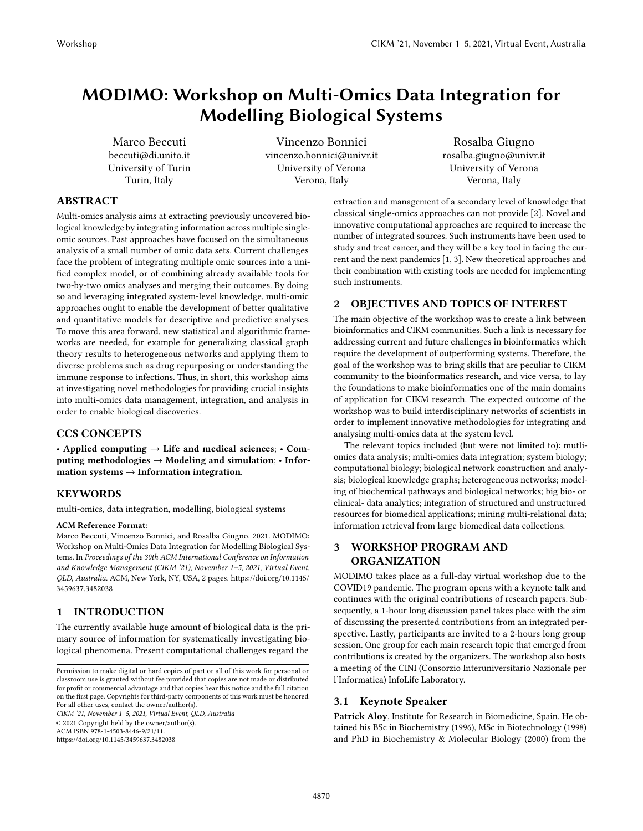# MODIMO: Workshop on Multi-Omics Data Integration for Modelling Biological Systems

Marco Beccuti beccuti@di.unito.it University of Turin Turin, Italy

[Vincenzo Bonnici](https://orcid.org/0000-0002-1637-7545) vincenzo.bonnici@univr.it University of Verona Verona, Italy

Rosalba Giugno rosalba.giugno@univr.it University of Verona Verona, Italy

# ABSTRACT

Multi-omics analysis aims at extracting previously uncovered biological knowledge by integrating information across multiple singleomic sources. Past approaches have focused on the simultaneous analysis of a small number of omic data sets. Current challenges face the problem of integrating multiple omic sources into a unified complex model, or of combining already available tools for two-by-two omics analyses and merging their outcomes. By doing so and leveraging integrated system-level knowledge, multi-omic approaches ought to enable the development of better qualitative and quantitative models for descriptive and predictive analyses. To move this area forward, new statistical and algorithmic frameworks are needed, for example for generalizing classical graph theory results to heterogeneous networks and applying them to diverse problems such as drug repurposing or understanding the immune response to infections. Thus, in short, this workshop aims at investigating novel methodologies for providing crucial insights into multi-omics data management, integration, and analysis in order to enable biological discoveries.

# CCS CONCEPTS

• Applied computing  $\rightarrow$  Life and medical sciences; • Computing methodologies → Modeling and simulation; • Information systems  $\rightarrow$  Information integration.

# **KEYWORDS**

multi-omics, data integration, modelling, biological systems

#### ACM Reference Format:

Marco Beccuti, Vincenzo Bonnici, and Rosalba Giugno. 2021. MODIMO: Workshop on Multi-Omics Data Integration for Modelling Biological Systems. In Proceedings of the 30th ACM International Conference on Information and Knowledge Management (CIKM '21), November 1–5, 2021, Virtual Event, QLD, Australia. ACM, New York, NY, USA, [2](#page-1-0) pages. [https://doi.org/10.1145/](https://doi.org/10.1145/3459637.3482038) [3459637.3482038](https://doi.org/10.1145/3459637.3482038)

# 1 INTRODUCTION

The currently available huge amount of biological data is the primary source of information for systematically investigating biological phenomena. Present computational challenges regard the

CIKM '21, November 1–5, 2021, Virtual Event, QLD, Australia

© 2021 Copyright held by the owner/author(s). ACM ISBN 978-1-4503-8446-9/21/11.

<https://doi.org/10.1145/3459637.3482038>

extraction and management of a secondary level of knowledge that classical single-omics approaches can not provide [\[2\]](#page-1-1). Novel and innovative computational approaches are required to increase the number of integrated sources. Such instruments have been used to study and treat cancer, and they will be a key tool in facing the current and the next pandemics [\[1,](#page-1-2) [3\]](#page-1-3). New theoretical approaches and their combination with existing tools are needed for implementing such instruments.

#### 2 OBJECTIVES AND TOPICS OF INTEREST

The main objective of the workshop was to create a link between bioinformatics and CIKM communities. Such a link is necessary for addressing current and future challenges in bioinformatics which require the development of outperforming systems. Therefore, the goal of the workshop was to bring skills that are peculiar to CIKM community to the bioinformatics research, and vice versa, to lay the foundations to make bioinformatics one of the main domains of application for CIKM research. The expected outcome of the workshop was to build interdisciplinary networks of scientists in order to implement innovative methodologies for integrating and analysing multi-omics data at the system level.

The relevant topics included (but were not limited to): mutliomics data analysis; multi-omics data integration; system biology; computational biology; biological network construction and analysis; biological knowledge graphs; heterogeneous networks; modeling of biochemical pathways and biological networks; big bio- or clinical- data analytics; integration of structured and unstructured resources for biomedical applications; mining multi-relational data; information retrieval from large biomedical data collections.

# 3 WORKSHOP PROGRAM AND ORGANIZATION

MODIMO takes place as a full-day virtual workshop due to the COVID19 pandemic. The program opens with a keynote talk and continues with the original contributions of research papers. Subsequently, a 1-hour long discussion panel takes place with the aim of discussing the presented contributions from an integrated perspective. Lastly, participants are invited to a 2-hours long group session. One group for each main research topic that emerged from contributions is created by the organizers. The workshop also hosts a meeting of the CINI (Consorzio Interuniversitario Nazionale per l'Informatica) InfoLife Laboratory.

# 3.1 Keynote Speaker

Patrick Aloy, Institute for Research in Biomedicine, Spain. He obtained his BSc in Biochemistry (1996), MSc in Biotechnology (1998) and PhD in Biochemistry & Molecular Biology (2000) from the

Permission to make digital or hard copies of part or all of this work for personal or classroom use is granted without fee provided that copies are not made or distributed for profit or commercial advantage and that copies bear this notice and the full citation on the first page. Copyrights for third-party components of this work must be honored. For all other uses, contact the owner/author(s).